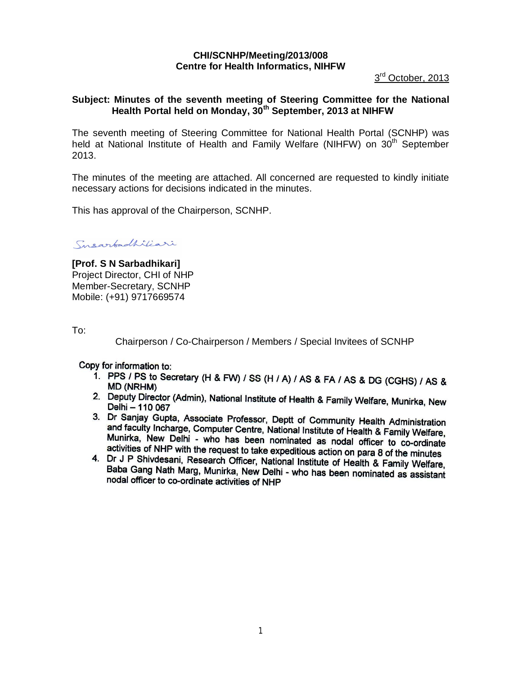# **CHI/SCNHP/Meeting/2013/008 Centre for Health Informatics, NIHFW**

3<sup>rd</sup> October, 2013

## **Subject: Minutes of the seventh meeting of Steering Committee for the National Health Portal held on Monday, 30th September, 2013 at NIHFW**

The seventh meeting of Steering Committee for National Health Portal (SCNHP) was held at National Institute of Health and Family Welfare (NIHFW) on 30<sup>th</sup> September 2013.

The minutes of the meeting are attached. All concerned are requested to kindly initiate necessary actions for decisions indicated in the minutes.

This has approval of the Chairperson, SCNHP.

Susarbadhiliari

**[Prof. S N Sarbadhikari]** Project Director, CHI of NHP Member-Secretary, SCNHP Mobile: (+91) 9717669574

To:

Chairperson / Co-Chairperson / Members / Special Invitees of SCNHP

Copy for information to:

- 1. PPS / PS to Secretary (H & FW) / SS (H / A) / AS & FA / AS & DG (CGHS) / AS & **MD (NRHM)**
- 2. Deputy Director (Admin), National Institute of Health & Family Welfare, Munirka, New Delhi - 110 067
- 3. Dr Sanjay Gupta, Associate Professor, Deptt of Community Health Administration and faculty Incharge, Computer Centre, National Institute of Health & Family Welfare, Munirka, New Delhi - who has been nominated as nodal officer to co-ordinate activities of NHP with the request to take expeditious action on para 8 of the minutes
- 4. Dr J P Shivdesani, Research Officer, National Institute of Health & Family Welfare, Baba Gang Nath Marg, Munirka, New Delhi - who has been nominated as assistant nodal officer to co-ordinate activities of NHP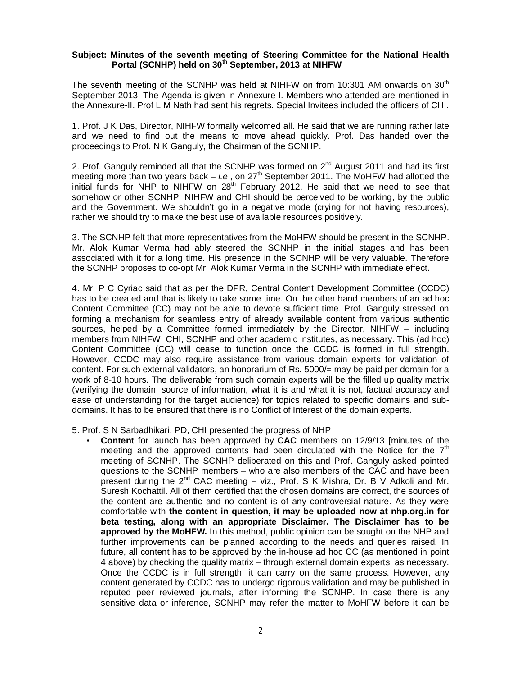#### **Subject: Minutes of the seventh meeting of Steering Committee for the National Health Portal (SCNHP) held on 30 th September, 2013 at NIHFW**

The seventh meeting of the SCNHP was held at NIHFW on from 10:301 AM onwards on 30<sup>th</sup> September 2013. The Agenda is given in Annexure-I. Members who attended are mentioned in the Annexure-II. Prof L M Nath had sent his regrets. Special Invitees included the officers of CHI.

1. Prof. J K Das, Director, NIHFW formally welcomed all. He said that we are running rather late and we need to find out the means to move ahead quickly. Prof. Das handed over the proceedings to Prof. N K Ganguly, the Chairman of the SCNHP.

2. Prof. Ganguly reminded all that the SCNHP was formed on  $2^{nd}$  August 2011 and had its first meeting more than two years back – *i.e.*, on 27<sup>th</sup> September 2011. The MoHFW had allotted the initial funds for NHP to NIHFW on  $28<sup>th</sup>$  February 2012. He said that we need to see that somehow or other SCNHP, NIHFW and CHI should be perceived to be working, by the public and the Government. We shouldn't go in a negative mode (crying for not having resources), rather we should try to make the best use of available resources positively.

3. The SCNHP felt that more representatives from the MoHFW should be present in the SCNHP. Mr. Alok Kumar Verma had ably steered the SCNHP in the initial stages and has been associated with it for a long time. His presence in the SCNHP will be very valuable. Therefore the SCNHP proposes to co-opt Mr. Alok Kumar Verma in the SCNHP with immediate effect.

4. Mr. P C Cyriac said that as per the DPR, Central Content Development Committee (CCDC) has to be created and that is likely to take some time. On the other hand members of an ad hoc Content Committee (CC) may not be able to devote sufficient time. Prof. Ganguly stressed on forming a mechanism for seamless entry of already available content from various authentic sources, helped by a Committee formed immediately by the Director, NIHFW – including members from NIHFW, CHI, SCNHP and other academic institutes, as necessary. This (ad hoc) Content Committee (CC) will cease to function once the CCDC is formed in full strength. However, CCDC may also require assistance from various domain experts for validation of content. For such external validators, an honorarium of Rs. 5000/= may be paid per domain for a work of 8-10 hours. The deliverable from such domain experts will be the filled up quality matrix (verifying the domain, source of information, what it is and what it is not, factual accuracy and ease of understanding for the target audience) for topics related to specific domains and subdomains. It has to be ensured that there is no Conflict of Interest of the domain experts.

#### 5. Prof. S N Sarbadhikari, PD, CHI presented the progress of NHP

• **Content** for launch has been approved by **CAC** members on 12/9/13 [minutes of the meeting and the approved contents had been circulated with the Notice for the  $7<sup>th</sup>$ meeting of SCNHP. The SCNHP deliberated on this and Prof. Ganguly asked pointed questions to the SCNHP members – who are also members of the CAC and have been present during the 2<sup>nd</sup> CAC meeting – viz., Prof. S K Mishra, Dr. B V Adkoli and Mr. Suresh Kochattil. All of them certified that the chosen domains are correct, the sources of the content are authentic and no content is of any controversial nature. As they were comfortable with **the content in question, it may be uploaded now at nhp.org.in for beta testing, along with an appropriate Disclaimer. The Disclaimer has to be approved by the MoHFW.** In this method, public opinion can be sought on the NHP and further improvements can be planned according to the needs and queries raised. In future, all content has to be approved by the in-house ad hoc CC (as mentioned in point 4 above) by checking the quality matrix – through external domain experts, as necessary. Once the CCDC is in full strength, it can carry on the same process. However, any content generated by CCDC has to undergo rigorous validation and may be published in reputed peer reviewed journals, after informing the SCNHP. In case there is any sensitive data or inference, SCNHP may refer the matter to MoHFW before it can be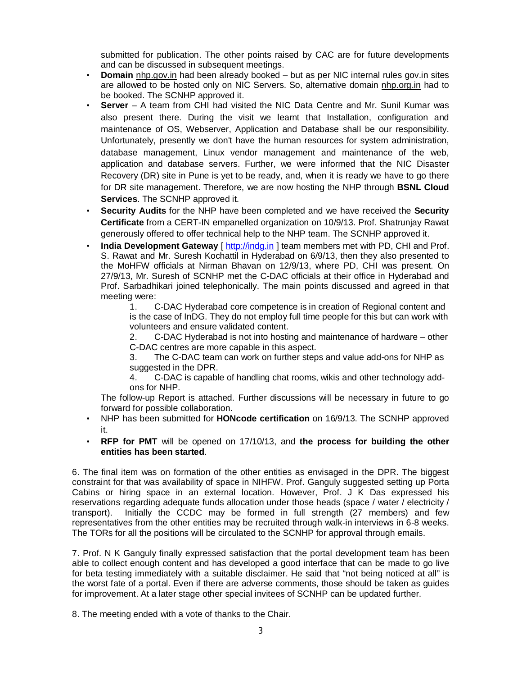submitted for publication. The other points raised by CAC are for future developments and can be discussed in subsequent meetings.

- **Domain** nhp.gov.in had been already booked but as per NIC internal rules gov.in sites are allowed to be hosted only on NIC Servers. So, alternative domain nhp.org.in had to be booked. The SCNHP approved it.
- **Server** A team from CHI had visited the NIC Data Centre and Mr. Sunil Kumar was also present there. During the visit we learnt that Installation, configuration and maintenance of OS, Webserver, Application and Database shall be our responsibility. Unfortunately, presently we don't have the human resources for system administration, database management, Linux vendor management and maintenance of the web, application and database servers. Further, we were informed that the NIC Disaster Recovery (DR) site in Pune is yet to be ready, and, when it is ready we have to go there for DR site management. Therefore, we are now hosting the NHP through **BSNL Cloud Services**. The SCNHP approved it.
- **Security Audits** for the NHP have been completed and we have received the **Security Certificate** from a CERT-IN empanelled organization on 10/9/13. Prof. Shatrunjay Rawat generously offered to offer technical help to the NHP team. The SCNHP approved it.
- **India Development Gateway** [ http://indg.in ] team members met with PD, CHI and Prof. S. Rawat and Mr. Suresh Kochattil in Hyderabad on 6/9/13, then they also presented to the MoHFW officials at Nirman Bhavan on 12/9/13, where PD, CHI was present. On 27/9/13, Mr. Suresh of SCNHP met the C-DAC officials at their office in Hyderabad and Prof. Sarbadhikari joined telephonically. The main points discussed and agreed in that meeting were:

1. C-DAC Hyderabad core competence is in creation of Regional content and is the case of InDG. They do not employ full time people for this but can work with volunteers and ensure validated content.

2. C-DAC Hyderabad is not into hosting and maintenance of hardware – other C-DAC centres are more capable in this aspect.

3. The C-DAC team can work on further steps and value add-ons for NHP as suggested in the DPR.

4. C-DAC is capable of handling chat rooms, wikis and other technology addons for NHP.

The follow-up Report is attached. Further discussions will be necessary in future to go forward for possible collaboration.

- NHP has been submitted for **HONcode certification** on 16/9/13. The SCNHP approved it.
- **RFP for PMT** will be opened on 17/10/13, and **the process for building the other entities has been started**.

6. The final item was on formation of the other entities as envisaged in the DPR. The biggest constraint for that was availability of space in NIHFW. Prof. Ganguly suggested setting up Porta Cabins or hiring space in an external location. However, Prof. J K Das expressed his reservations regarding adequate funds allocation under those heads (space / water / electricity / transport). Initially the CCDC may be formed in full strength (27 members) and few representatives from the other entities may be recruited through walk-in interviews in 6-8 weeks. The TORs for all the positions will be circulated to the SCNHP for approval through emails.

7. Prof. N K Ganguly finally expressed satisfaction that the portal development team has been able to collect enough content and has developed a good interface that can be made to go live for beta testing immediately with a suitable disclaimer. He said that "not being noticed at all" is the worst fate of a portal. Even if there are adverse comments, those should be taken as guides for improvement. At a later stage other special invitees of SCNHP can be updated further.

8. The meeting ended with a vote of thanks to the Chair.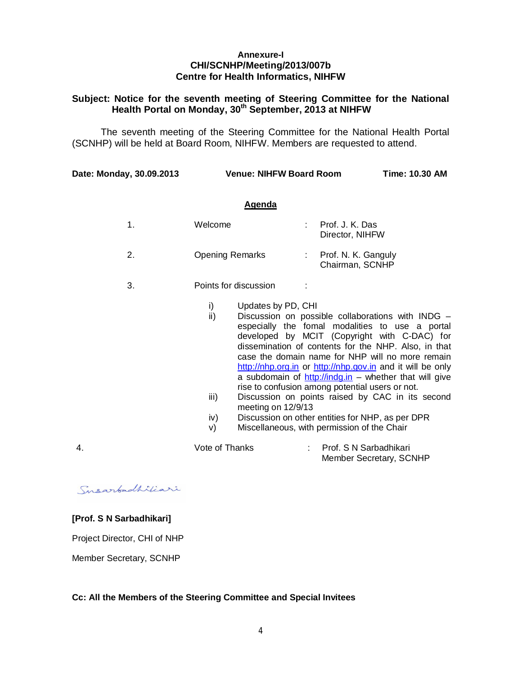#### **Annexure-I CHI/SCNHP/Meeting/2013/007b Centre for Health Informatics, NIHFW**

## **Subject: Notice for the seventh meeting of Steering Committee for the National Health Portal on Monday, 30th September, 2013 at NIHFW**

The seventh meeting of the Steering Committee for the National Health Portal (SCNHP) will be held at Board Room, NIHFW. Members are requested to attend.

**Date: Monday, 30.09.2013 Venue: NIHFW Board Room Time: 10.30 AM**

#### **Agenda**

|    | Welcome                | Prof. J. K. Das<br>Director, NIHFW     |
|----|------------------------|----------------------------------------|
| 2. | <b>Opening Remarks</b> | Prof. N. K. Ganguly<br>Chairman, SCNHP |

- 3. Points for discussion :
	- i) Updates by PD, CHI
	- ii) Discussion on possible collaborations with INDG especially the fomal modalities to use a portal developed by MCIT (Copyright with C-DAC) for dissemination of contents for the NHP. Also, in that case the domain name for NHP will no more remain http://nhp.org.in or http://nhp.gov.in and it will be only a subdomain of  $http://indg.in - whether that will give$ rise to confusion among potential users or not.
	- iii) Discussion on points raised by CAC in its second meeting on 12/9/13
	- iv) Discussion on other entities for NHP, as per DPR
	- v) Miscellaneous, with permission of the Chair

4. Vote of Thanks : Prof. S N Sarbadhikari Member Secretary, SCNHP

Susarbadhiliari

## **[Prof. S N Sarbadhikari]**

Project Director, CHI of NHP

Member Secretary, SCNHP

### **Cc: All the Members of the Steering Committee and Special Invitees**